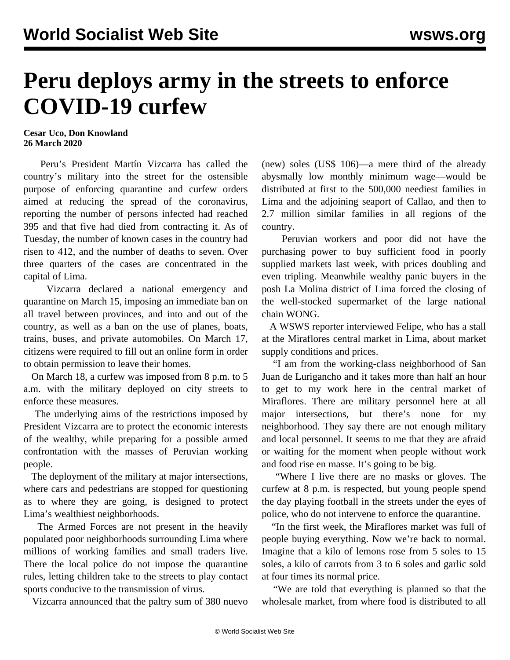## **Peru deploys army in the streets to enforce COVID-19 curfew**

## **Cesar Uco, Don Knowland 26 March 2020**

 Peru's President Martín Vizcarra has called the country's military into the street for the ostensible purpose of enforcing quarantine and curfew orders aimed at reducing the spread of the coronavirus, reporting the number of persons infected had reached 395 and that five had died from contracting it. As of Tuesday, the number of known cases in the country had risen to 412, and the number of deaths to seven. Over three quarters of the cases are concentrated in the capital of Lima.

 Vizcarra declared a national emergency and quarantine on March 15, imposing an immediate ban on all travel between provinces, and into and out of the country, as well as a ban on the use of planes, boats, trains, buses, and private automobiles. On March 17, citizens were required to fill out an online form in order to obtain permission to leave their homes.

 On March 18, a curfew was imposed from 8 p.m. to 5 a.m. with the military deployed on city streets to enforce these measures.

 The underlying aims of the restrictions imposed by President Vizcarra are to protect the economic interests of the wealthy, while preparing for a possible armed confrontation with the masses of Peruvian working people.

 The deployment of the military at major intersections, where cars and pedestrians are stopped for questioning as to where they are going, is designed to protect Lima's wealthiest neighborhoods.

 The Armed Forces are not present in the heavily populated poor neighborhoods surrounding Lima where millions of working families and small traders live. There the local police do not impose the quarantine rules, letting children take to the streets to play contact sports conducive to the transmission of virus.

Vizcarra announced that the paltry sum of 380 nuevo

(new) soles (US\$ 106)—a mere third of the already abysmally low monthly minimum wage—would be distributed at first to the 500,000 neediest families in Lima and the adjoining seaport of Callao, and then to 2.7 million similar families in all regions of the country.

 Peruvian workers and poor did not have the purchasing power to buy sufficient food in poorly supplied markets last week, with prices doubling and even tripling. Meanwhile wealthy panic buyers in the posh La Molina district of Lima forced the closing of the well-stocked supermarket of the large national chain WONG.

 A WSWS reporter interviewed Felipe, who has a stall at the Miraflores central market in Lima, about market supply conditions and prices.

 "I am from the working-class neighborhood of San Juan de Lurigancho and it takes more than half an hour to get to my work here in the central market of Miraflores. There are military personnel here at all major intersections, but there's none for my neighborhood. They say there are not enough military and local personnel. It seems to me that they are afraid or waiting for the moment when people without work and food rise en masse. It's going to be big.

 "Where I live there are no masks or gloves. The curfew at 8 p.m. is respected, but young people spend the day playing football in the streets under the eyes of police, who do not intervene to enforce the quarantine.

 "In the first week, the Miraflores market was full of people buying everything. Now we're back to normal. Imagine that a kilo of lemons rose from 5 soles to 15 soles, a kilo of carrots from 3 to 6 soles and garlic sold at four times its normal price.

 "We are told that everything is planned so that the wholesale market, from where food is distributed to all